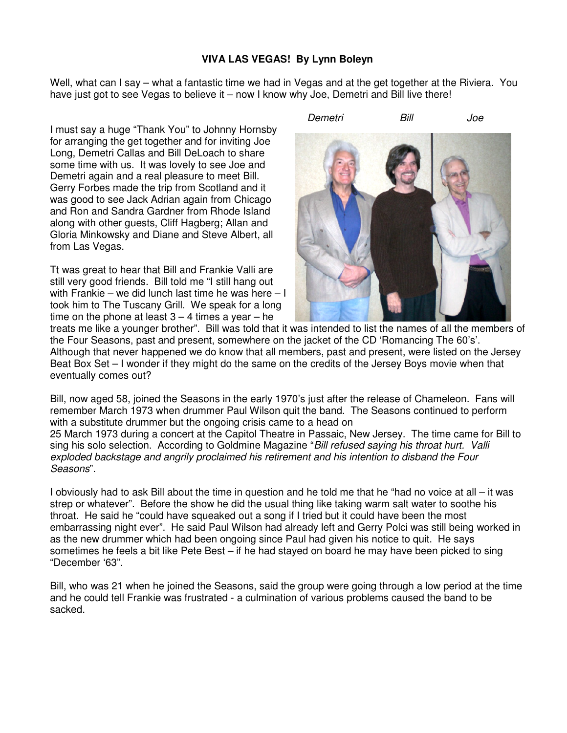## **VIVA LAS VEGAS! By Lynn Boleyn**

Well, what can I say – what a fantastic time we had in Vegas and at the get together at the Riviera. You have just got to see Vegas to believe it – now I know why Joe, Demetri and Bill live there!

I must say a huge "Thank You" to Johnny Hornsby for arranging the get together and for inviting Joe Long, Demetri Callas and Bill DeLoach to share some time with us. It was lovely to see Joe and Demetri again and a real pleasure to meet Bill. Gerry Forbes made the trip from Scotland and it was good to see Jack Adrian again from Chicago and Ron and Sandra Gardner from Rhode Island along with other guests, Cliff Hagberg; Allan and Gloria Minkowsky and Diane and Steve Albert, all from Las Vegas.

Tt was great to hear that Bill and Frankie Valli are still very good friends. Bill told me "I still hang out with Frankie – we did lunch last time he was here – I took him to The Tuscany Grill. We speak for a long time on the phone at least  $3 - 4$  times a year  $-$  he



Demetri Bill Joe

treats me like a younger brother". Bill was told that it was intended to list the names of all the members of the Four Seasons, past and present, somewhere on the jacket of the CD 'Romancing The 60's'. Although that never happened we do know that all members, past and present, were listed on the Jersey Beat Box Set – I wonder if they might do the same on the credits of the Jersey Boys movie when that eventually comes out?

Bill, now aged 58, joined the Seasons in the early 1970's just after the release of Chameleon. Fans will remember March 1973 when drummer Paul Wilson quit the band. The Seasons continued to perform with a substitute drummer but the ongoing crisis came to a head on

25 March 1973 during a concert at the Capitol Theatre in Passaic, New Jersey. The time came for Bill to sing his solo selection. According to Goldmine Magazine "Bill refused saying his throat hurt. Valli exploded backstage and angrily proclaimed his retirement and his intention to disband the Four Seasons".

I obviously had to ask Bill about the time in question and he told me that he "had no voice at all – it was strep or whatever". Before the show he did the usual thing like taking warm salt water to soothe his throat. He said he "could have squeaked out a song if I tried but it could have been the most embarrassing night ever". He said Paul Wilson had already left and Gerry Polci was still being worked in as the new drummer which had been ongoing since Paul had given his notice to quit. He says sometimes he feels a bit like Pete Best – if he had stayed on board he may have been picked to sing "December '63".

Bill, who was 21 when he joined the Seasons, said the group were going through a low period at the time and he could tell Frankie was frustrated - a culmination of various problems caused the band to be sacked.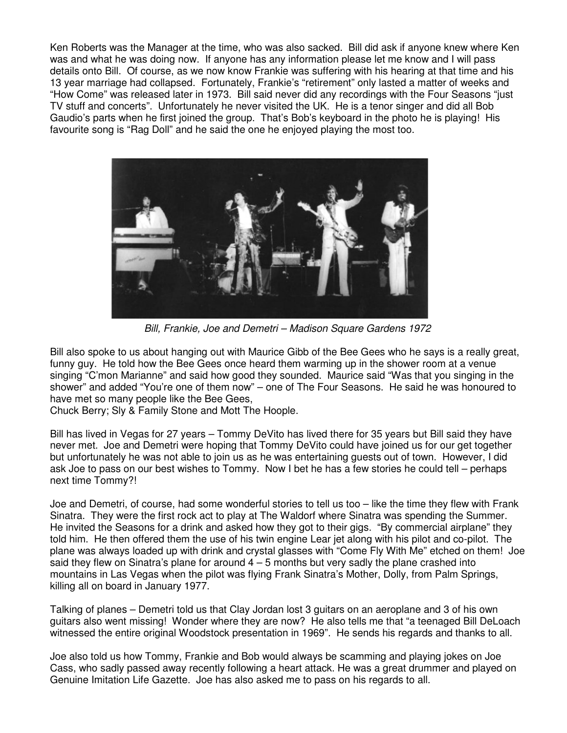Ken Roberts was the Manager at the time, who was also sacked. Bill did ask if anyone knew where Ken was and what he was doing now. If anyone has any information please let me know and I will pass details onto Bill. Of course, as we now know Frankie was suffering with his hearing at that time and his 13 year marriage had collapsed. Fortunately, Frankie's "retirement" only lasted a matter of weeks and "How Come" was released later in 1973. Bill said never did any recordings with the Four Seasons "just TV stuff and concerts". Unfortunately he never visited the UK. He is a tenor singer and did all Bob Gaudio's parts when he first joined the group. That's Bob's keyboard in the photo he is playing! His favourite song is "Rag Doll" and he said the one he enjoyed playing the most too.



Bill, Frankie, Joe and Demetri – Madison Square Gardens 1972

Bill also spoke to us about hanging out with Maurice Gibb of the Bee Gees who he says is a really great, funny guy. He told how the Bee Gees once heard them warming up in the shower room at a venue singing "C'mon Marianne" and said how good they sounded. Maurice said "Was that you singing in the shower" and added "You're one of them now" – one of The Four Seasons. He said he was honoured to have met so many people like the Bee Gees,

Chuck Berry; Sly & Family Stone and Mott The Hoople.

Bill has lived in Vegas for 27 years – Tommy DeVito has lived there for 35 years but Bill said they have never met. Joe and Demetri were hoping that Tommy DeVito could have joined us for our get together but unfortunately he was not able to join us as he was entertaining guests out of town. However, I did ask Joe to pass on our best wishes to Tommy. Now I bet he has a few stories he could tell – perhaps next time Tommy?!

Joe and Demetri, of course, had some wonderful stories to tell us too – like the time they flew with Frank Sinatra. They were the first rock act to play at The Waldorf where Sinatra was spending the Summer. He invited the Seasons for a drink and asked how they got to their gigs. "By commercial airplane" they told him. He then offered them the use of his twin engine Lear jet along with his pilot and co-pilot. The plane was always loaded up with drink and crystal glasses with "Come Fly With Me" etched on them! Joe said they flew on Sinatra's plane for around  $4-5$  months but very sadly the plane crashed into mountains in Las Vegas when the pilot was flying Frank Sinatra's Mother, Dolly, from Palm Springs, killing all on board in January 1977.

Talking of planes – Demetri told us that Clay Jordan lost 3 guitars on an aeroplane and 3 of his own guitars also went missing! Wonder where they are now? He also tells me that "a teenaged Bill DeLoach witnessed the entire original Woodstock presentation in 1969". He sends his regards and thanks to all.

Joe also told us how Tommy, Frankie and Bob would always be scamming and playing jokes on Joe Cass, who sadly passed away recently following a heart attack. He was a great drummer and played on Genuine Imitation Life Gazette. Joe has also asked me to pass on his regards to all.